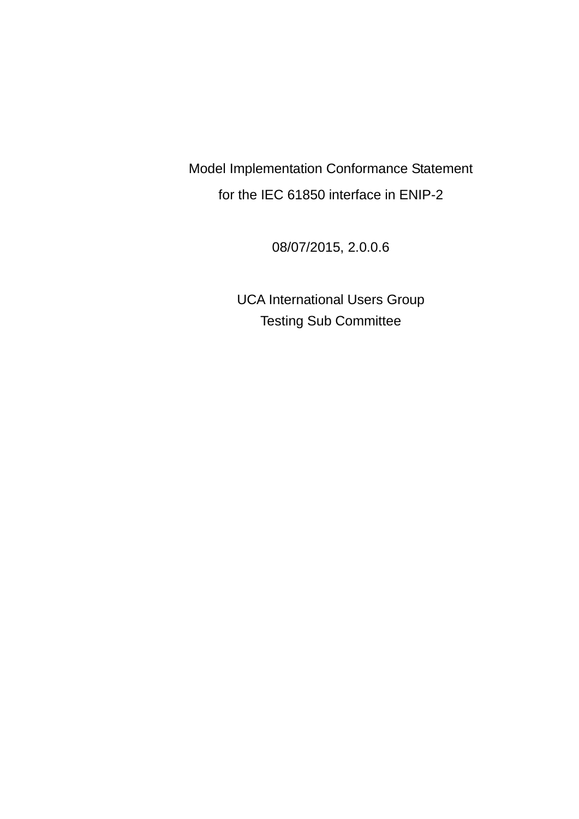Model Implementation Conformance Statement for the IEC 61850 interface in ENIP-2

08/07/2015, 2.0.0.6

UCA International Users Group Testing Sub Committee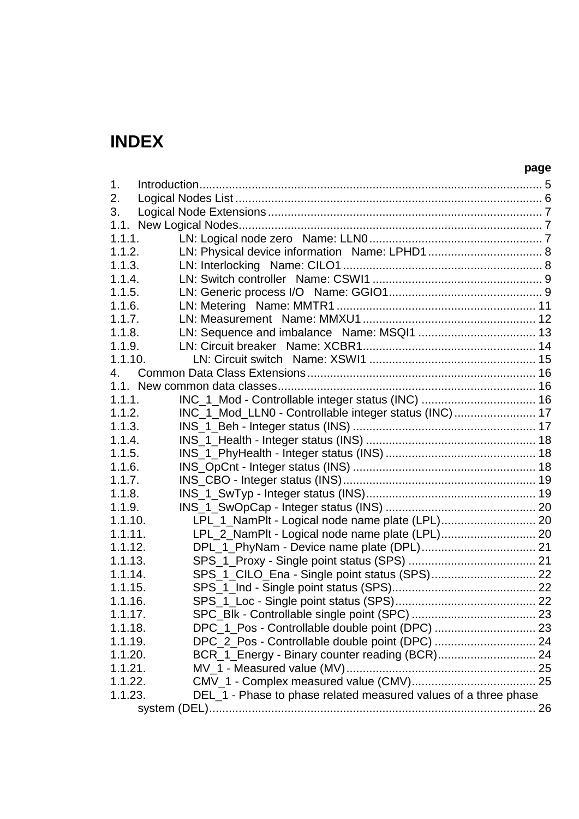# **INDEX**

| 1.      |                                                                 |  |
|---------|-----------------------------------------------------------------|--|
| 2.      |                                                                 |  |
| 3.      |                                                                 |  |
|         |                                                                 |  |
| 1.1.1.  |                                                                 |  |
| 1.1.2.  |                                                                 |  |
| 1.1.3.  |                                                                 |  |
| 1.1.4.  |                                                                 |  |
| 1.1.5.  |                                                                 |  |
| 1.1.6.  |                                                                 |  |
| 1.1.7.  |                                                                 |  |
| 1.1.8.  |                                                                 |  |
| 1.1.9.  |                                                                 |  |
| 1.1.10. |                                                                 |  |
| 4.      |                                                                 |  |
|         |                                                                 |  |
| 1.1.1.  | INC_1_Mod - Controllable integer status (INC)  16               |  |
| 1.1.2.  | INC_1_Mod_LLN0 - Controllable integer status (INC)  17          |  |
| 1.1.3.  |                                                                 |  |
| 1.1.4.  |                                                                 |  |
| 1.1.5.  |                                                                 |  |
| 1.1.6.  |                                                                 |  |
| 1.1.7.  |                                                                 |  |
| 1.1.8.  |                                                                 |  |
| 1.1.9.  |                                                                 |  |
| 1.1.10. |                                                                 |  |
| 1.1.11. | LPL_2_NamPlt - Logical node name plate (LPL) 20                 |  |
| 1.1.12. |                                                                 |  |
| 1.1.13. |                                                                 |  |
| 1.1.14. |                                                                 |  |
| 1.1.15. |                                                                 |  |
| 1.1.16. |                                                                 |  |
| 1.1.17. |                                                                 |  |
| 1.1.18. |                                                                 |  |
| 1.1.19. | DPC_2_Pos - Controllable double point (DPC)  24                 |  |
| 1.1.20. | BCR_1_Energy - Binary counter reading (BCR) 24                  |  |
| 1.1.21. |                                                                 |  |
| 1.1.22. |                                                                 |  |
| 1.1.23. | DEL_1 - Phase to phase related measured values of a three phase |  |
|         |                                                                 |  |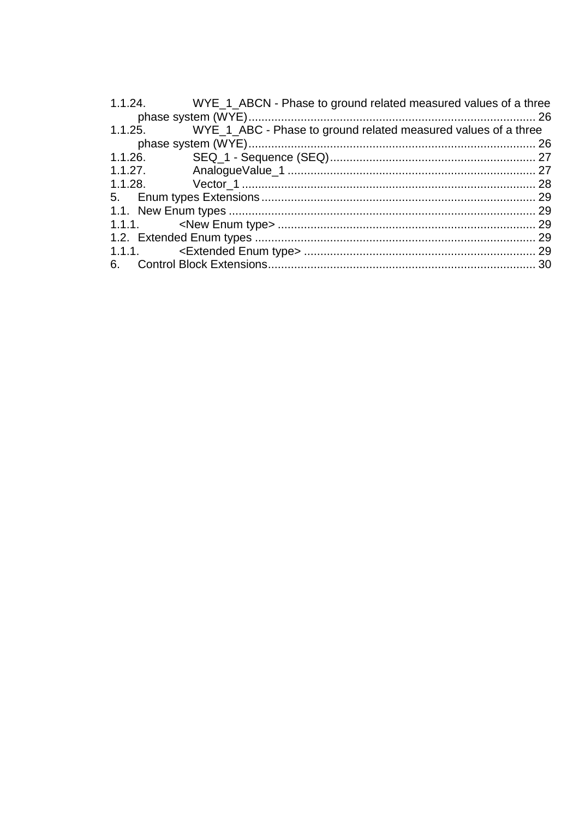|         | 1.1.24. WYE_1_ABCN - Phase to ground related measured values of a three |  |
|---------|-------------------------------------------------------------------------|--|
|         |                                                                         |  |
| 1.1.25. | WYE_1_ABC - Phase to ground related measured values of a three          |  |
|         |                                                                         |  |
| 1.1.26. |                                                                         |  |
| 1.1.27. |                                                                         |  |
|         |                                                                         |  |
|         |                                                                         |  |
|         |                                                                         |  |
|         |                                                                         |  |
|         |                                                                         |  |
|         |                                                                         |  |
|         |                                                                         |  |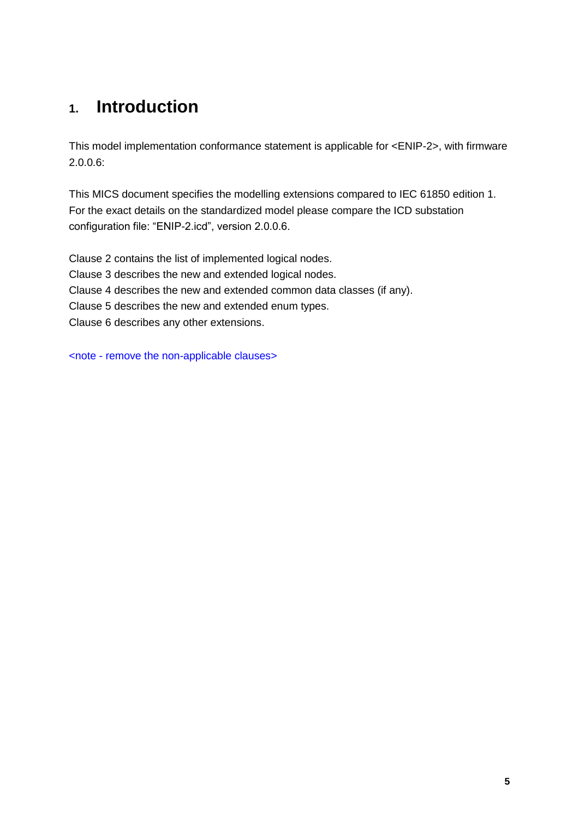# **1. Introduction**

This model implementation conformance statement is applicable for <ENIP-2>, with firmware 2.0.0.6:

This MICS document specifies the modelling extensions compared to IEC 61850 edition 1. For the exact details on the standardized model please compare the ICD substation configuration file: "ENIP-2.icd", version 2.0.0.6.

Clause 2 contains the list of implemented logical nodes. Clause 3 describes the new and extended logical nodes. Clause 4 describes the new and extended common data classes (if any). Clause 5 describes the new and extended enum types. Clause 6 describes any other extensions.

<note - remove the non-applicable clauses>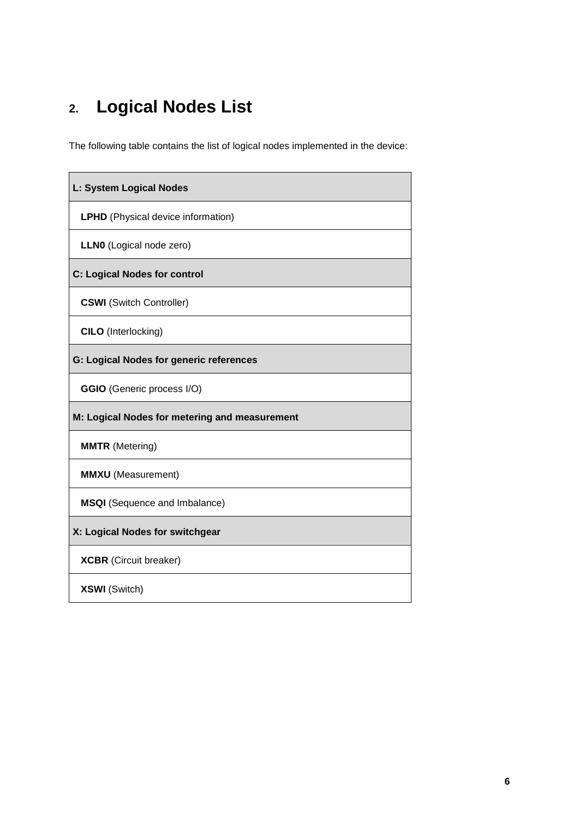# **2. Logical Nodes List**

The following table contains the list of logical nodes implemented in the device:

| L: System Logical Nodes                        |
|------------------------------------------------|
| <b>LPHD</b> (Physical device information)      |
| LLNO (Logical node zero)                       |
| <b>C: Logical Nodes for control</b>            |
| <b>CSWI</b> (Switch Controller)                |
| <b>CILO</b> (Interlocking)                     |
| <b>G: Logical Nodes for generic references</b> |
| <b>GGIO</b> (Generic process I/O)              |
| M: Logical Nodes for metering and measurement  |
| <b>MMTR</b> (Metering)                         |
| <b>MMXU</b> (Measurement)                      |
| <b>MSQI</b> (Sequence and Imbalance)           |
| X: Logical Nodes for switchgear                |
| <b>XCBR</b> (Circuit breaker)                  |
| <b>XSWI</b> (Switch)                           |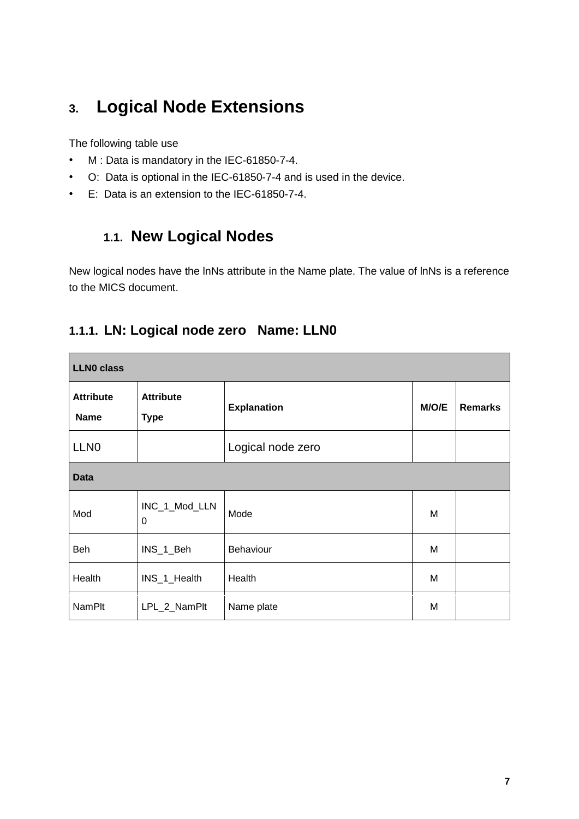# **3. Logical Node Extensions**

The following table use

- M : Data is mandatory in the IEC-61850-7-4.
- O: Data is optional in the IEC-61850-7-4 and is used in the device.
- E: Data is an extension to the IEC-61850-7-4.

# **1.1. New Logical Nodes**

New logical nodes have the lnNs attribute in the Name plate. The value of lnNs is a reference to the MICS document.

|  | 1.1.1. LN: Logical node zero Name: LLN0 |  |
|--|-----------------------------------------|--|
|  |                                         |  |

| <b>LLNO class</b>               |                                 |                    |       |                |  |  |
|---------------------------------|---------------------------------|--------------------|-------|----------------|--|--|
| <b>Attribute</b><br><b>Name</b> | <b>Attribute</b><br><b>Type</b> | <b>Explanation</b> | M/O/E | <b>Remarks</b> |  |  |
| LLN <sub>0</sub>                |                                 | Logical node zero  |       |                |  |  |
| <b>Data</b>                     |                                 |                    |       |                |  |  |
| Mod                             | INC_1_Mod_LLN<br>0              | Mode               | M     |                |  |  |
| Beh                             | INS_1_Beh                       | Behaviour          | M     |                |  |  |
| Health                          | INS_1_Health                    | Health             | M     |                |  |  |
| <b>NamPlt</b>                   | LPL_2_NamPlt                    | Name plate         | M     |                |  |  |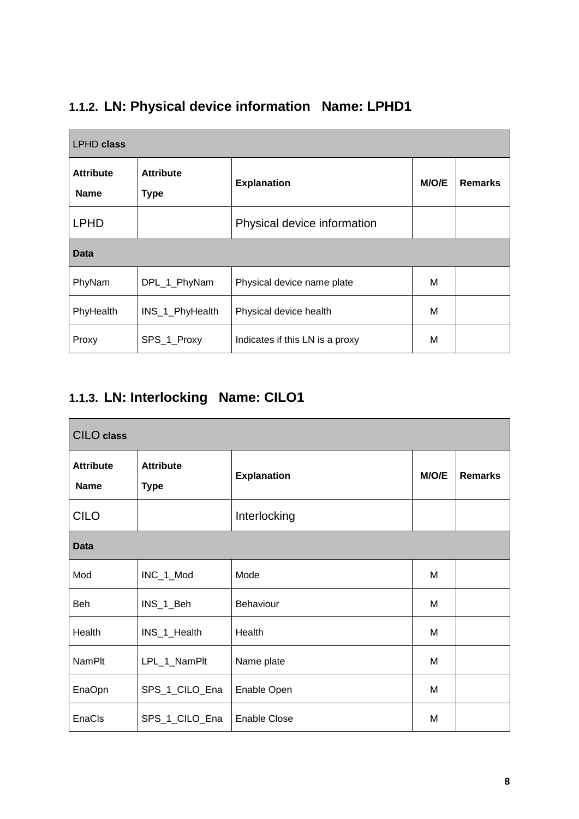| <b>LPHD class</b>               |                                 |                                 |       |                |  |
|---------------------------------|---------------------------------|---------------------------------|-------|----------------|--|
| <b>Attribute</b><br><b>Name</b> | <b>Attribute</b><br><b>Type</b> | <b>Explanation</b>              | M/O/E | <b>Remarks</b> |  |
| <b>LPHD</b>                     |                                 | Physical device information     |       |                |  |
| Data                            |                                 |                                 |       |                |  |
| PhyNam                          | DPL_1_PhyNam                    | Physical device name plate      | M     |                |  |
| PhyHealth                       | INS_1_PhyHealth                 | Physical device health          | M     |                |  |
| Proxy                           | SPS_1_Proxy                     | Indicates if this LN is a proxy | M     |                |  |

# **1.1.2. LN: Physical device information Name: LPHD1**

### **1.1.3. LN: Interlocking Name: CILO1**

| <b>CILO</b> class               |                                 |                     |       |                |  |
|---------------------------------|---------------------------------|---------------------|-------|----------------|--|
| <b>Attribute</b><br><b>Name</b> | <b>Attribute</b><br><b>Type</b> | <b>Explanation</b>  | M/O/E | <b>Remarks</b> |  |
| <b>CILO</b>                     |                                 | Interlocking        |       |                |  |
| <b>Data</b>                     |                                 |                     |       |                |  |
| Mod                             | INC_1_Mod                       | Mode                | м     |                |  |
| Beh                             | INS_1_Beh                       | Behaviour           | M     |                |  |
| Health                          | INS_1_Health                    | Health              | M     |                |  |
| <b>NamPlt</b>                   | LPL_1_NamPlt                    | Name plate          | M     |                |  |
| EnaOpn                          | SPS_1_CILO_Ena                  | Enable Open         | M     |                |  |
| EnaCls                          | SPS_1_CILO_Ena                  | <b>Enable Close</b> | M     |                |  |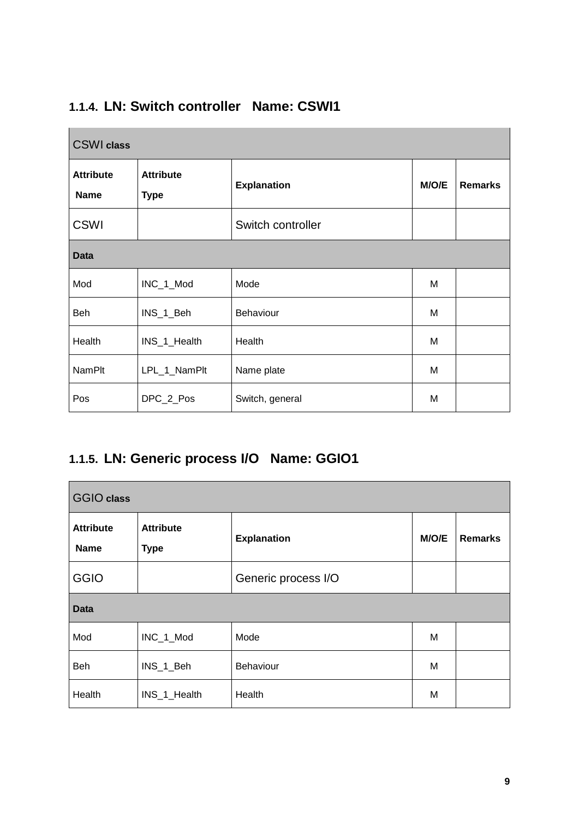| <b>CSWI</b> class               |                                 |                    |       |                |  |
|---------------------------------|---------------------------------|--------------------|-------|----------------|--|
| <b>Attribute</b><br><b>Name</b> | <b>Attribute</b><br><b>Type</b> | <b>Explanation</b> | M/O/E | <b>Remarks</b> |  |
| <b>CSWI</b>                     |                                 | Switch controller  |       |                |  |
| <b>Data</b>                     |                                 |                    |       |                |  |
| Mod                             | INC_1_Mod                       | Mode               | M     |                |  |
| Beh                             | INS_1_Beh                       | Behaviour          | M     |                |  |
| Health                          | INS_1_Health                    | Health             | M     |                |  |
| <b>NamPlt</b>                   | LPL_1_NamPlt                    | Name plate         | M     |                |  |
| Pos                             | DPC_2_Pos                       | Switch, general    | M     |                |  |

# **1.1.4. LN: Switch controller Name: CSWI1**

# **1.1.5. LN: Generic process I/O Name: GGIO1**

| <b>GGIO class</b>               |                                 |                     |       |                |  |
|---------------------------------|---------------------------------|---------------------|-------|----------------|--|
| <b>Attribute</b><br><b>Name</b> | <b>Attribute</b><br><b>Type</b> | <b>Explanation</b>  | M/O/E | <b>Remarks</b> |  |
| <b>GGIO</b>                     |                                 | Generic process I/O |       |                |  |
| <b>Data</b>                     |                                 |                     |       |                |  |
| Mod                             | INC_1_Mod                       | Mode                | M     |                |  |
| Beh                             | INS_1_Beh                       | Behaviour           | M     |                |  |
| Health                          | INS_1_Health                    | Health              | M     |                |  |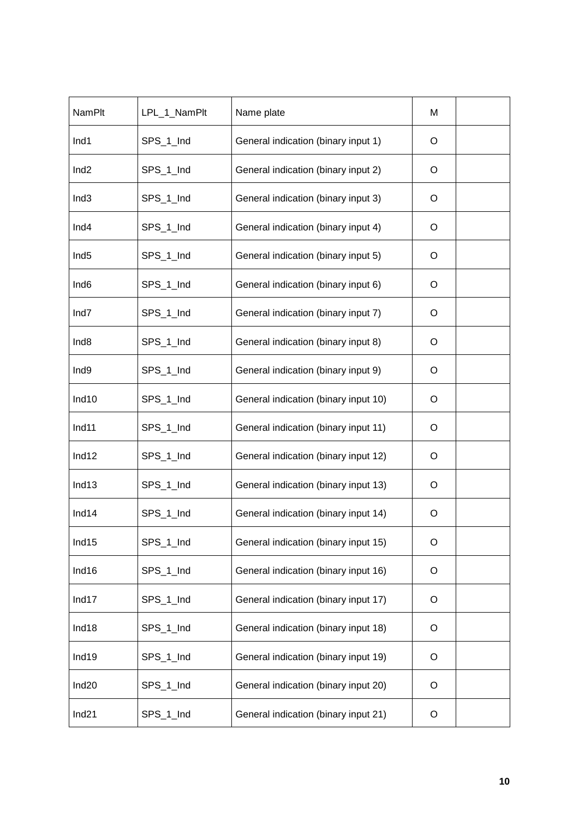| <b>NamPlt</b>     | LPL 1 NamPlt | Name plate                           | м |  |
|-------------------|--------------|--------------------------------------|---|--|
| Ind1              | SPS_1_Ind    | General indication (binary input 1)  | O |  |
| Ind <sub>2</sub>  | SPS_1_Ind    | General indication (binary input 2)  | O |  |
| Ind <sub>3</sub>  | SPS_1_Ind    | General indication (binary input 3)  | O |  |
| Ind <sub>4</sub>  | SPS_1_Ind    | General indication (binary input 4)  | O |  |
| Ind <sub>5</sub>  | SPS_1_Ind    | General indication (binary input 5)  | O |  |
| Ind <sub>6</sub>  | SPS_1_Ind    | General indication (binary input 6)  | O |  |
| Ind7              | SPS_1_Ind    | General indication (binary input 7)  | O |  |
| Ind <sub>8</sub>  | SPS_1_Ind    | General indication (binary input 8)  | O |  |
| Ind9              | SPS_1_Ind    | General indication (binary input 9)  | O |  |
| Ind10             | SPS_1_Ind    | General indication (binary input 10) | O |  |
| Ind11             | SPS_1_Ind    | General indication (binary input 11) | O |  |
| Ind12             | SPS_1_Ind    | General indication (binary input 12) | O |  |
| Ind13             | SPS_1_Ind    | General indication (binary input 13) | O |  |
| Ind14             | SPS_1_Ind    | General indication (binary input 14) | O |  |
| Ind15             | SPS_1_Ind    | General indication (binary input 15) | O |  |
| Ind16             | SPS_1_Ind    | General indication (binary input 16) | O |  |
| Ind17             | SPS 1 Ind    | General indication (binary input 17) | O |  |
| Ind18             | SPS_1_Ind    | General indication (binary input 18) | O |  |
| Ind19             | SPS_1_Ind    | General indication (binary input 19) | O |  |
| Ind <sub>20</sub> | SPS_1_Ind    | General indication (binary input 20) | O |  |
| Ind21             | SPS_1_Ind    | General indication (binary input 21) | O |  |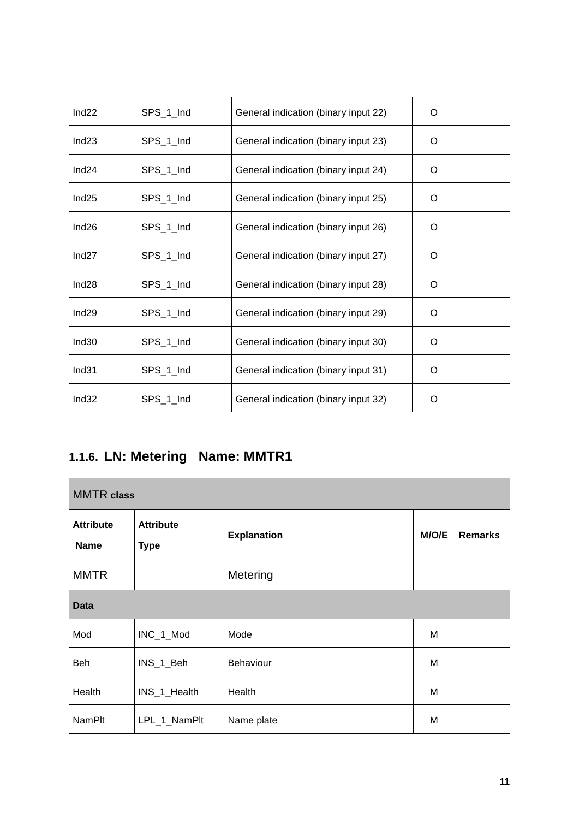| Ind22             | SPS_1_Ind | General indication (binary input 22) | O        |  |
|-------------------|-----------|--------------------------------------|----------|--|
| Ind23             | SPS_1_Ind | General indication (binary input 23) | O        |  |
| Ind24             | SPS_1_Ind | General indication (binary input 24) | $\Omega$ |  |
| Ind <sub>25</sub> | SPS_1_Ind | General indication (binary input 25) | O        |  |
| Ind <sub>26</sub> | SPS_1_Ind | General indication (binary input 26) | $\Omega$ |  |
| Ind <sub>27</sub> | SPS_1_Ind | General indication (binary input 27) | O        |  |
| Ind28             | SPS_1_Ind | General indication (binary input 28) | O        |  |
| Ind <sub>29</sub> | SPS_1_Ind | General indication (binary input 29) | $\Omega$ |  |
| Ind30             | SPS_1_Ind | General indication (binary input 30) | O        |  |
| Ind <sub>31</sub> | SPS_1_Ind | General indication (binary input 31) | O        |  |
| Ind <sub>32</sub> | SPS_1_Ind | General indication (binary input 32) | O        |  |

# **1.1.6. LN: Metering Name: MMTR1**

| <b>MMTR</b> class               |                                 |                    |       |                |  |
|---------------------------------|---------------------------------|--------------------|-------|----------------|--|
| <b>Attribute</b><br><b>Name</b> | <b>Attribute</b><br><b>Type</b> | <b>Explanation</b> | M/O/E | <b>Remarks</b> |  |
| <b>MMTR</b>                     |                                 | Metering           |       |                |  |
| <b>Data</b>                     |                                 |                    |       |                |  |
| Mod                             | INC_1_Mod                       | Mode               | M     |                |  |
| <b>Beh</b>                      | INS_1_Beh                       | Behaviour          | M     |                |  |
| Health                          | INS_1_Health                    | Health             | M     |                |  |
| <b>NamPlt</b>                   | LPL_1_NamPlt                    | Name plate         | M     |                |  |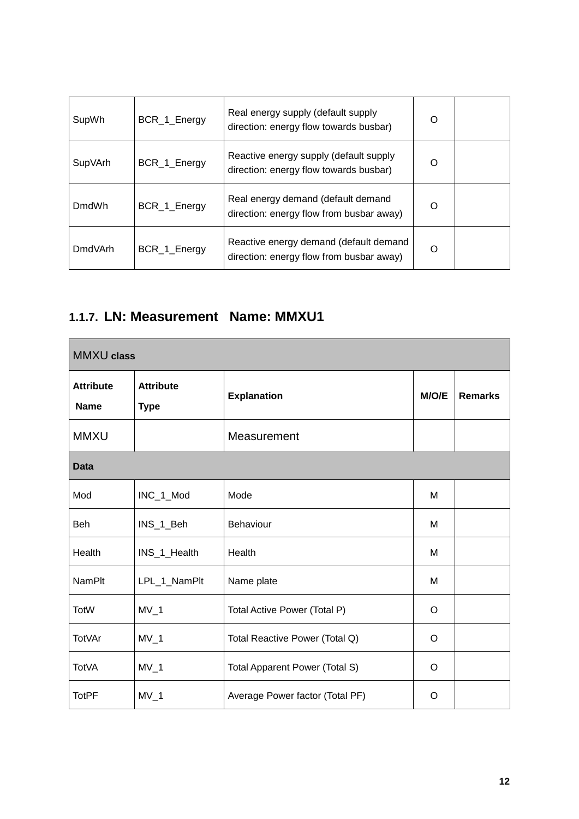| SupWh          | BCR_1_Energy | Real energy supply (default supply<br>direction: energy flow towards busbar)       | $\Omega$ |  |
|----------------|--------------|------------------------------------------------------------------------------------|----------|--|
| SupVArh        | BCR_1_Energy | Reactive energy supply (default supply<br>direction: energy flow towards busbar)   | ∩        |  |
| <b>DmdWh</b>   | BCR_1_Energy | Real energy demand (default demand<br>direction: energy flow from busbar away)     | $\Omega$ |  |
| <b>DmdVArh</b> | BCR_1_Energy | Reactive energy demand (default demand<br>direction: energy flow from busbar away) | ∩        |  |

#### **1.1.7. LN: Measurement Name: MMXU1**

| <b>MMXU</b> class               |                                 |                                 |       |                |  |  |
|---------------------------------|---------------------------------|---------------------------------|-------|----------------|--|--|
| <b>Attribute</b><br><b>Name</b> | <b>Attribute</b><br><b>Type</b> | <b>Explanation</b>              | M/O/E | <b>Remarks</b> |  |  |
| <b>MMXU</b>                     |                                 | Measurement                     |       |                |  |  |
| <b>Data</b>                     |                                 |                                 |       |                |  |  |
| Mod                             | INC_1_Mod                       | Mode                            | М     |                |  |  |
| Beh                             | INS_1_Beh                       | Behaviour                       | М     |                |  |  |
| Health                          | INS_1_Health                    | Health                          | М     |                |  |  |
| <b>NamPlt</b>                   | LPL_1_NamPlt                    | Name plate                      | M     |                |  |  |
| <b>TotW</b>                     | $MV_1$                          | Total Active Power (Total P)    | O     |                |  |  |
| <b>TotVAr</b>                   | $MV_1$                          | Total Reactive Power (Total Q)  | O     |                |  |  |
| <b>TotVA</b>                    | $MV_1$                          | Total Apparent Power (Total S)  | O     |                |  |  |
| <b>TotPF</b>                    | $MV_1$                          | Average Power factor (Total PF) | O     |                |  |  |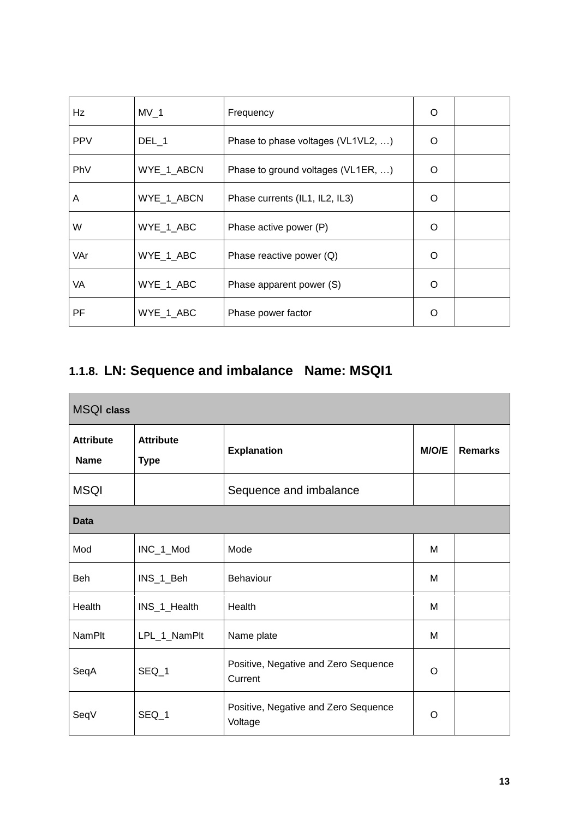| Hz         | MV <sub>1</sub> | Frequency                          | O        |  |
|------------|-----------------|------------------------------------|----------|--|
| <b>PPV</b> | $DEL_1$         | Phase to phase voltages (VL1VL2, ) | O        |  |
| PhV        | WYE_1_ABCN      | Phase to ground voltages (VL1ER, ) | $\Omega$ |  |
| A          | WYE_1_ABCN      | Phase currents (IL1, IL2, IL3)     | O        |  |
| W          | WYE_1_ABC       | Phase active power (P)             | O        |  |
| VAr        | WYE_1_ABC       | Phase reactive power $(Q)$         | O        |  |
| VA.        | WYE_1_ABC       | Phase apparent power (S)           | Ω        |  |
| PF         | WYE_1_ABC       | Phase power factor                 | Ω        |  |

# **1.1.8. LN: Sequence and imbalance Name: MSQI1**

| <b>MSQI</b> class               |                                 |                                                 |       |                |  |  |  |
|---------------------------------|---------------------------------|-------------------------------------------------|-------|----------------|--|--|--|
| <b>Attribute</b><br><b>Name</b> | <b>Attribute</b><br><b>Type</b> | <b>Explanation</b>                              | M/O/E | <b>Remarks</b> |  |  |  |
| <b>MSQI</b>                     |                                 | Sequence and imbalance                          |       |                |  |  |  |
| <b>Data</b>                     |                                 |                                                 |       |                |  |  |  |
| Mod                             | INC_1_Mod                       | Mode                                            | М     |                |  |  |  |
| Beh                             | INS_1_Beh                       | Behaviour                                       | М     |                |  |  |  |
| Health                          | INS_1_Health                    | Health                                          | M     |                |  |  |  |
| <b>NamPlt</b>                   | LPL_1_NamPlt                    | Name plate                                      | М     |                |  |  |  |
| SeqA                            | SEQ_1                           | Positive, Negative and Zero Sequence<br>Current | O     |                |  |  |  |
| SeqV                            | SEQ_1                           | Positive, Negative and Zero Sequence<br>Voltage | O     |                |  |  |  |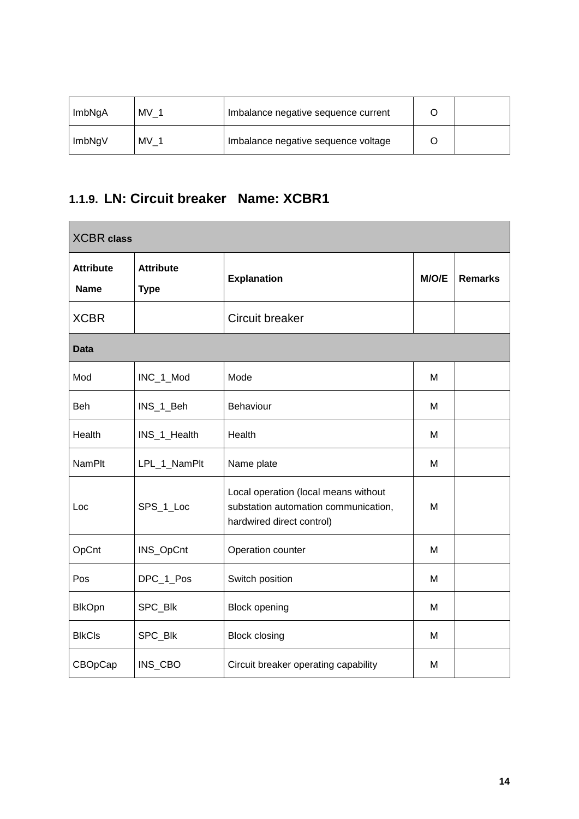| ImbNgA | MV 1 | Imbalance negative sequence current |  |
|--------|------|-------------------------------------|--|
| ImbNgV | MV 1 | Imbalance negative sequence voltage |  |

### **1.1.9. LN: Circuit breaker Name: XCBR1**

 $\sim$ 

| <b>XCBR</b> class               |                                 |                                                                                                           |       |                |  |  |
|---------------------------------|---------------------------------|-----------------------------------------------------------------------------------------------------------|-------|----------------|--|--|
| <b>Attribute</b><br><b>Name</b> | <b>Attribute</b><br><b>Type</b> | <b>Explanation</b>                                                                                        | M/O/E | <b>Remarks</b> |  |  |
| <b>XCBR</b>                     |                                 | <b>Circuit breaker</b>                                                                                    |       |                |  |  |
| <b>Data</b>                     |                                 |                                                                                                           |       |                |  |  |
| Mod                             | INC_1_Mod                       | Mode                                                                                                      | M     |                |  |  |
| Beh                             | INS_1_Beh                       | Behaviour                                                                                                 | м     |                |  |  |
| Health                          | INS_1_Health                    | Health                                                                                                    | M     |                |  |  |
| <b>NamPlt</b>                   | LPL_1_NamPlt                    | Name plate                                                                                                | M     |                |  |  |
| Loc                             | SPS_1_Loc                       | Local operation (local means without<br>substation automation communication,<br>hardwired direct control) | M     |                |  |  |
| OpCnt                           | INS_OpCnt                       | Operation counter                                                                                         | м     |                |  |  |
| Pos                             | DPC_1_Pos                       | Switch position                                                                                           | M     |                |  |  |
| <b>BlkOpn</b>                   | SPC_Blk                         | <b>Block opening</b>                                                                                      | M     |                |  |  |
| <b>BlkCls</b>                   | SPC_Blk                         | <b>Block closing</b>                                                                                      | M     |                |  |  |
| CBOpCap                         | INS_CBO                         | Circuit breaker operating capability                                                                      | м     |                |  |  |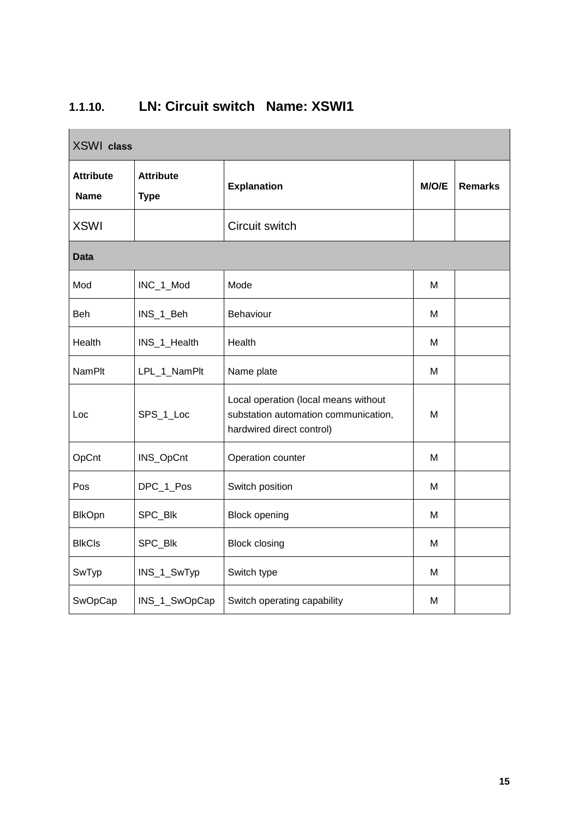| <b>XSWI</b> class               |                                 |                                                                                                           |       |                |  |  |
|---------------------------------|---------------------------------|-----------------------------------------------------------------------------------------------------------|-------|----------------|--|--|
| <b>Attribute</b><br><b>Name</b> | <b>Attribute</b><br><b>Type</b> | <b>Explanation</b>                                                                                        | M/O/E | <b>Remarks</b> |  |  |
| <b>XSWI</b>                     |                                 | Circuit switch                                                                                            |       |                |  |  |
| <b>Data</b>                     |                                 |                                                                                                           |       |                |  |  |
| Mod                             | INC_1_Mod                       | Mode                                                                                                      | м     |                |  |  |
| Beh                             | INS_1_Beh                       | <b>Behaviour</b>                                                                                          | м     |                |  |  |
| Health                          | INS_1_Health                    | Health                                                                                                    | м     |                |  |  |
| <b>NamPlt</b>                   | LPL_1_NamPlt                    | Name plate                                                                                                | M     |                |  |  |
| Loc                             | SPS_1_Loc                       | Local operation (local means without<br>substation automation communication,<br>hardwired direct control) | М     |                |  |  |
| OpCnt                           | INS_OpCnt                       | Operation counter                                                                                         | м     |                |  |  |
| Pos                             | DPC_1_Pos                       | Switch position                                                                                           | M     |                |  |  |
| <b>BlkOpn</b>                   | SPC_Blk                         | <b>Block opening</b>                                                                                      | м     |                |  |  |
| <b>BlkCls</b>                   | SPC_Blk                         | <b>Block closing</b>                                                                                      | м     |                |  |  |
| SwTyp                           | INS_1_SwTyp                     | Switch type                                                                                               | М     |                |  |  |
| SwOpCap                         | INS_1_SwOpCap                   | Switch operating capability                                                                               | М     |                |  |  |

### **1.1.10. LN: Circuit switch Name: XSWI1**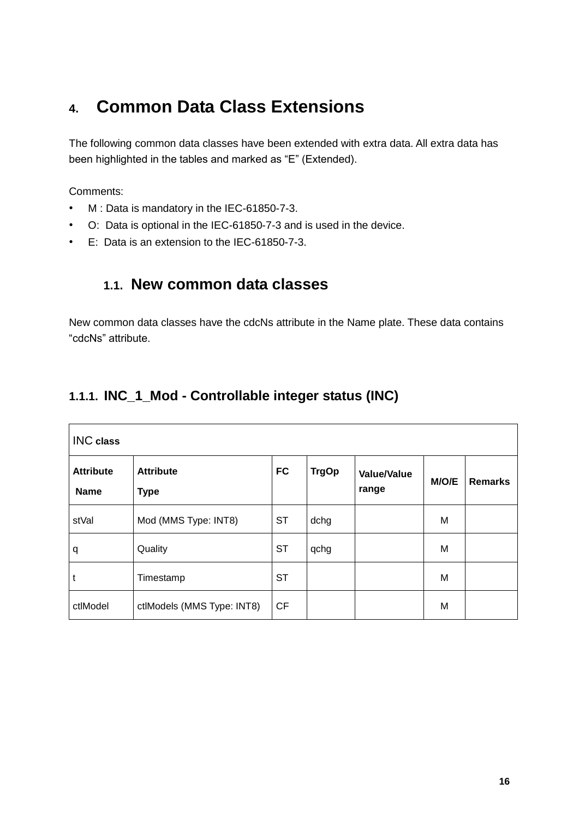# **4. Common Data Class Extensions**

The following common data classes have been extended with extra data. All extra data has been highlighted in the tables and marked as "E" (Extended).

Comments:

- M : Data is mandatory in the IEC-61850-7-3.
- O: Data is optional in the IEC-61850-7-3 and is used in the device.
- E: Data is an extension to the IEC-61850-7-3.

#### **1.1. New common data classes**

New common data classes have the cdcNs attribute in the Name plate. These data contains "cdcNs" attribute.

#### **1.1.1. INC\_1\_Mod - Controllable integer status (INC)**

| <b>INC</b> class                |                                 |           |              |                             |       |                |
|---------------------------------|---------------------------------|-----------|--------------|-----------------------------|-------|----------------|
| <b>Attribute</b><br><b>Name</b> | <b>Attribute</b><br><b>Type</b> | <b>FC</b> | <b>TrgOp</b> | <b>Value/Value</b><br>range | M/O/E | <b>Remarks</b> |
| stVal                           | Mod (MMS Type: INT8)            | <b>ST</b> | dchg         |                             | M     |                |
| q                               | Quality                         | <b>ST</b> | qchg         |                             | M     |                |
| t                               | Timestamp                       | <b>ST</b> |              |                             | M     |                |
| ctlModel                        | ctlModels (MMS Type: INT8)      | <b>CF</b> |              |                             | M     |                |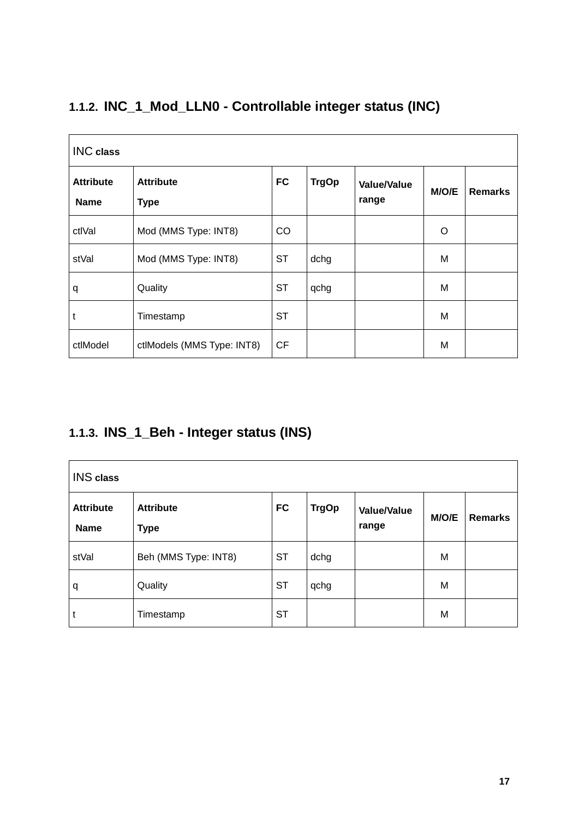| <b>INC</b> class                |                                 |           |              |                             |         |                |  |  |
|---------------------------------|---------------------------------|-----------|--------------|-----------------------------|---------|----------------|--|--|
| <b>Attribute</b><br><b>Name</b> | <b>Attribute</b><br><b>Type</b> | <b>FC</b> | <b>TrgOp</b> | <b>Value/Value</b><br>range | M/O/E   | <b>Remarks</b> |  |  |
| ctlVal                          | Mod (MMS Type: INT8)            | CO        |              |                             | $\circ$ |                |  |  |
| stVal                           | Mod (MMS Type: INT8)            | <b>ST</b> | dchg         |                             | M       |                |  |  |
| q                               | Quality                         | <b>ST</b> | qchg         |                             | M       |                |  |  |
| t                               | Timestamp                       | <b>ST</b> |              |                             | M       |                |  |  |
| ctlModel                        | ctlModels (MMS Type: INT8)      | <b>CF</b> |              |                             | M       |                |  |  |

# **1.1.2. INC\_1\_Mod\_LLN0 - Controllable integer status (INC)**

#### **1.1.3. INS\_1\_Beh - Integer status (INS)**

| <b>INS</b> class                |                                 |           |              |                             |       |                |  |
|---------------------------------|---------------------------------|-----------|--------------|-----------------------------|-------|----------------|--|
| <b>Attribute</b><br><b>Name</b> | <b>Attribute</b><br><b>Type</b> | <b>FC</b> | <b>TrgOp</b> | <b>Value/Value</b><br>range | M/O/E | <b>Remarks</b> |  |
| stVal                           | Beh (MMS Type: INT8)            | <b>ST</b> | dchg         |                             | M     |                |  |
| q                               | Quality                         | <b>ST</b> | qchg         |                             | M     |                |  |
| $\mathsf{t}$                    | Timestamp                       | <b>ST</b> |              |                             | M     |                |  |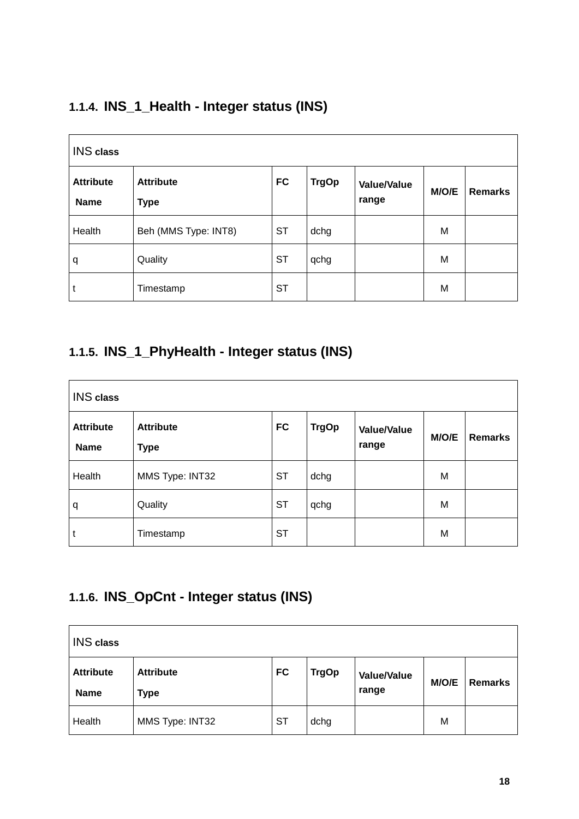#### **1.1.4. INS\_1\_Health - Integer status (INS)**

| <b>INS</b> class                |                                 |           |              |                             |       |                |
|---------------------------------|---------------------------------|-----------|--------------|-----------------------------|-------|----------------|
| <b>Attribute</b><br><b>Name</b> | <b>Attribute</b><br><b>Type</b> | <b>FC</b> | <b>TrgOp</b> | <b>Value/Value</b><br>range | M/O/E | <b>Remarks</b> |
| Health                          | Beh (MMS Type: INT8)            | <b>ST</b> | dchg         |                             | M     |                |
| q                               | Quality                         | <b>ST</b> | qchg         |                             | M     |                |
|                                 | Timestamp                       | <b>ST</b> |              |                             | M     |                |

#### **1.1.5. INS\_1\_PhyHealth - Integer status (INS)**

| <b>INS</b> class                |                                 |           |              |                             |       |                |  |
|---------------------------------|---------------------------------|-----------|--------------|-----------------------------|-------|----------------|--|
| <b>Attribute</b><br><b>Name</b> | <b>Attribute</b><br><b>Type</b> | <b>FC</b> | <b>TrgOp</b> | <b>Value/Value</b><br>range | M/O/E | <b>Remarks</b> |  |
| Health                          | MMS Type: INT32                 | <b>ST</b> | dchg         |                             | M     |                |  |
| q                               | Quality                         | <b>ST</b> | qchg         |                             | M     |                |  |
| t                               | Timestamp                       | <b>ST</b> |              |                             | M     |                |  |

#### **1.1.6. INS\_OpCnt - Integer status (INS)**

| <b>INS</b> class                |                                 |           |              |                             |       |                |
|---------------------------------|---------------------------------|-----------|--------------|-----------------------------|-------|----------------|
| <b>Attribute</b><br><b>Name</b> | <b>Attribute</b><br><b>Type</b> | <b>FC</b> | <b>TrgOp</b> | <b>Value/Value</b><br>range | M/O/E | <b>Remarks</b> |
| Health                          | MMS Type: INT32                 | <b>ST</b> | dchg         |                             | M     |                |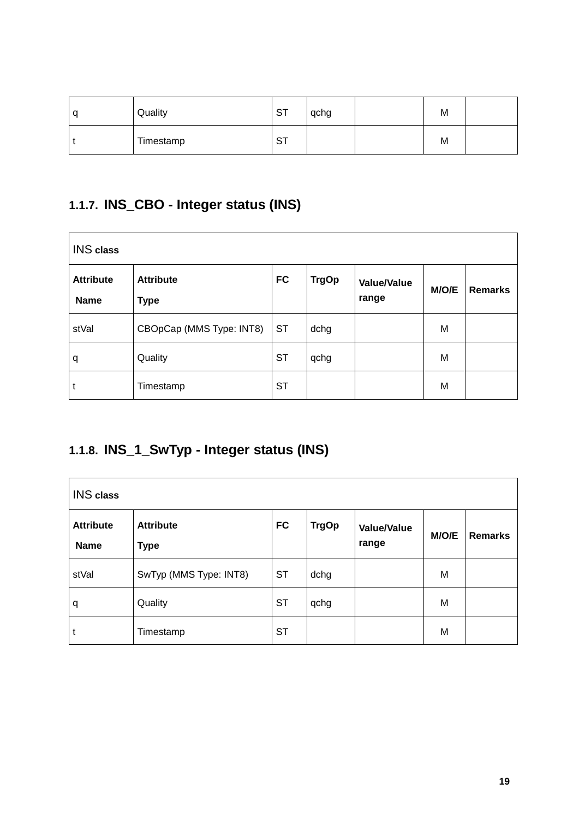| q | Quality   | $\Gamma$<br>ו סי | qchg | M |  |
|---|-----------|------------------|------|---|--|
|   | Timestamp | ا ب              |      | M |  |

### **1.1.7. INS\_CBO - Integer status (INS)**

| <b>INS</b> class                |                                 |           |              |                             |       |                |  |
|---------------------------------|---------------------------------|-----------|--------------|-----------------------------|-------|----------------|--|
| <b>Attribute</b><br><b>Name</b> | <b>Attribute</b><br><b>Type</b> | <b>FC</b> | <b>TrgOp</b> | <b>Value/Value</b><br>range | M/O/E | <b>Remarks</b> |  |
| stVal                           | CBOpCap (MMS Type: INT8)        | <b>ST</b> | dchg         |                             | M     |                |  |
| q                               | Quality                         | <b>ST</b> | qchg         |                             | M     |                |  |
| t                               | Timestamp                       | <b>ST</b> |              |                             | M     |                |  |

### **1.1.8. INS\_1\_SwTyp - Integer status (INS)**

| <b>INS</b> class         |                                 |           |              |                             |       |                |  |
|--------------------------|---------------------------------|-----------|--------------|-----------------------------|-------|----------------|--|
| <b>Attribute</b><br>Name | <b>Attribute</b><br><b>Type</b> | <b>FC</b> | <b>TrgOp</b> | <b>Value/Value</b><br>range | M/O/E | <b>Remarks</b> |  |
| stVal                    | SwTyp (MMS Type: INT8)          | <b>ST</b> | dchg         |                             | M     |                |  |
| q                        | Quality                         | <b>ST</b> | qchg         |                             | M     |                |  |
| t                        | Timestamp                       | <b>ST</b> |              |                             | M     |                |  |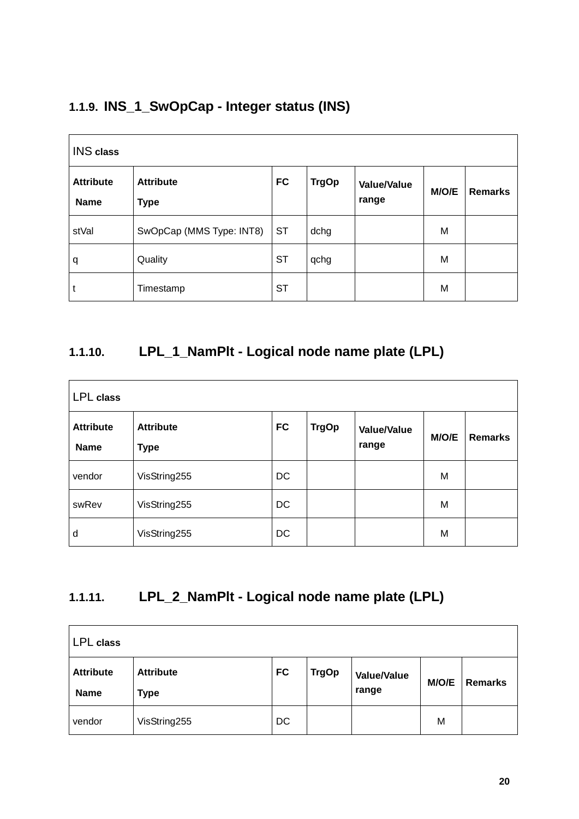#### **1.1.9. INS\_1\_SwOpCap - Integer status (INS)**

| <b>INS</b> class                |                                 |           |              |                             |       |                |  |
|---------------------------------|---------------------------------|-----------|--------------|-----------------------------|-------|----------------|--|
| <b>Attribute</b><br><b>Name</b> | <b>Attribute</b><br><b>Type</b> | <b>FC</b> | <b>TrgOp</b> | <b>Value/Value</b><br>range | M/O/E | <b>Remarks</b> |  |
| stVal                           | SwOpCap (MMS Type: INT8)        | <b>ST</b> | dchg         |                             | M     |                |  |
| q                               | Quality                         | <b>ST</b> | qchg         |                             | M     |                |  |
| u                               | Timestamp                       | <b>ST</b> |              |                             | M     |                |  |

#### **1.1.10. LPL\_1\_NamPlt - Logical node name plate (LPL)**

| <b>LPL</b> class         |                                 |           |              |                             |       |                |  |
|--------------------------|---------------------------------|-----------|--------------|-----------------------------|-------|----------------|--|
| <b>Attribute</b><br>Name | <b>Attribute</b><br><b>Type</b> | <b>FC</b> | <b>TrgOp</b> | <b>Value/Value</b><br>range | M/O/E | <b>Remarks</b> |  |
| vendor                   | VisString255                    | <b>DC</b> |              |                             | M     |                |  |
| swRev                    | VisString255                    | <b>DC</b> |              |                             | M     |                |  |
| d                        | VisString255                    | <b>DC</b> |              |                             | M     |                |  |

### **1.1.11. LPL\_2\_NamPlt - Logical node name plate (LPL)**

| LPL class                       |                                 |           |              |                             |       |                |
|---------------------------------|---------------------------------|-----------|--------------|-----------------------------|-------|----------------|
| <b>Attribute</b><br><b>Name</b> | <b>Attribute</b><br><b>Type</b> | <b>FC</b> | <b>TrgOp</b> | <b>Value/Value</b><br>range | M/O/E | <b>Remarks</b> |
| vendor                          | VisString255                    | <b>DC</b> |              |                             | м     |                |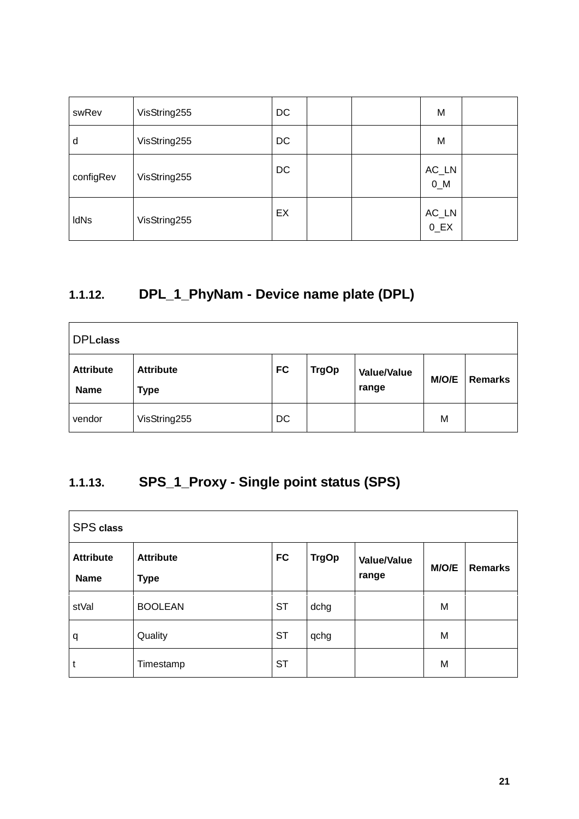| swRev       | VisString255 | DC | M                              |  |
|-------------|--------------|----|--------------------------------|--|
| d           | VisString255 | DC | M                              |  |
| configRev   | VisString255 | DC | $AC_LN$<br>$0$ <sub>_</sub> M  |  |
| <b>IdNs</b> | VisString255 | EX | $AC_LN$<br>$0$ <sub>_</sub> EX |  |

# **1.1.12. DPL\_1\_PhyNam - Device name plate (DPL)**

| <b>DPLclass</b>                 |                                 |           |              |                             |       |                |
|---------------------------------|---------------------------------|-----------|--------------|-----------------------------|-------|----------------|
| <b>Attribute</b><br><b>Name</b> | <b>Attribute</b><br><b>Type</b> | <b>FC</b> | <b>TrgOp</b> | <b>Value/Value</b><br>range | M/O/E | <b>Remarks</b> |
| vendor                          | VisString255                    | <b>DC</b> |              |                             | M     |                |

### **1.1.13. SPS\_1\_Proxy - Single point status (SPS)**

| <b>SPS</b> class         |                                 |           |              |                             |       |                |  |
|--------------------------|---------------------------------|-----------|--------------|-----------------------------|-------|----------------|--|
| <b>Attribute</b><br>Name | <b>Attribute</b><br><b>Type</b> | <b>FC</b> | <b>TrgOp</b> | <b>Value/Value</b><br>range | M/O/E | <b>Remarks</b> |  |
| stVal                    | <b>BOOLEAN</b>                  | <b>ST</b> | dchg         |                             | M     |                |  |
| q                        | Quality                         | <b>ST</b> | qchg         |                             | M     |                |  |
| t                        | Timestamp                       | <b>ST</b> |              |                             | M     |                |  |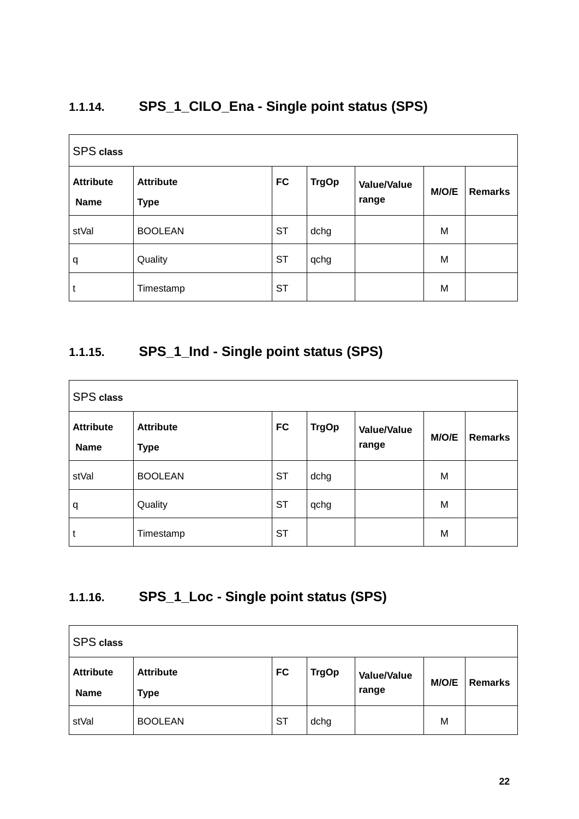### **1.1.14. SPS\_1\_CILO\_Ena - Single point status (SPS)**

| <b>SPS</b> class         |                                 |           |              |                             |       |                |  |
|--------------------------|---------------------------------|-----------|--------------|-----------------------------|-------|----------------|--|
| <b>Attribute</b><br>Name | <b>Attribute</b><br><b>Type</b> | <b>FC</b> | <b>TrgOp</b> | <b>Value/Value</b><br>range | M/O/E | <b>Remarks</b> |  |
| stVal                    | <b>BOOLEAN</b>                  | <b>ST</b> | dchg         |                             | M     |                |  |
| q                        | Quality                         | <b>ST</b> | qchg         |                             | M     |                |  |
| t                        | Timestamp                       | <b>ST</b> |              |                             | M     |                |  |

#### **1.1.15. SPS\_1\_Ind - Single point status (SPS)**

| <b>SPS</b> class                |                                 |           |              |                             |       |                |  |
|---------------------------------|---------------------------------|-----------|--------------|-----------------------------|-------|----------------|--|
| <b>Attribute</b><br><b>Name</b> | <b>Attribute</b><br><b>Type</b> | <b>FC</b> | <b>TrgOp</b> | <b>Value/Value</b><br>range | M/O/E | <b>Remarks</b> |  |
| stVal                           | <b>BOOLEAN</b>                  | <b>ST</b> | dchg         |                             | M     |                |  |
| q                               | Quality                         | <b>ST</b> | qchg         |                             | M     |                |  |
| t                               | Timestamp                       | <b>ST</b> |              |                             | M     |                |  |

### **1.1.16. SPS\_1\_Loc - Single point status (SPS)**

| <b>SPS</b> class         |                          |           |              |                             |       |                |
|--------------------------|--------------------------|-----------|--------------|-----------------------------|-------|----------------|
| <b>Attribute</b><br>Name | <b>Attribute</b><br>Type | <b>FC</b> | <b>TrgOp</b> | <b>Value/Value</b><br>range | M/O/E | <b>Remarks</b> |
| stVal                    | <b>BOOLEAN</b>           | <b>ST</b> | dchg         |                             | M     |                |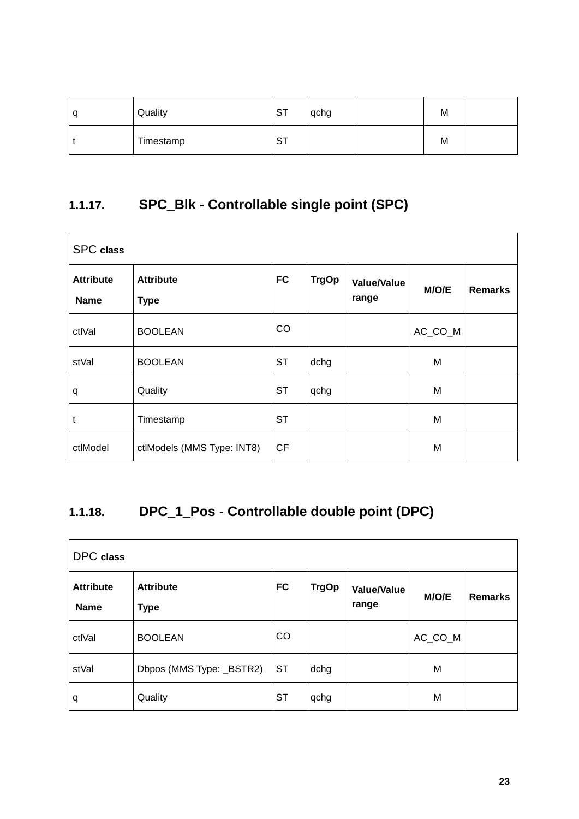| C | Quality   | <b>ST</b> | qchg | M |  |
|---|-----------|-----------|------|---|--|
|   | Timestamp | ∼⊤<br>، ت |      | M |  |

### **1.1.17. SPC\_Blk - Controllable single point (SPC)**

| <b>SPC</b> class                |                                 |           |              |                             |         |                |  |  |
|---------------------------------|---------------------------------|-----------|--------------|-----------------------------|---------|----------------|--|--|
| <b>Attribute</b><br><b>Name</b> | <b>Attribute</b><br><b>Type</b> | <b>FC</b> | <b>TrgOp</b> | <b>Value/Value</b><br>range | M/O/E   | <b>Remarks</b> |  |  |
| ctlVal                          | <b>BOOLEAN</b>                  | CO        |              |                             | AC_CO_M |                |  |  |
| stVal                           | <b>BOOLEAN</b>                  | <b>ST</b> | dchg         |                             | M       |                |  |  |
| q                               | Quality                         | <b>ST</b> | qchg         |                             | M       |                |  |  |
| t                               | Timestamp                       | <b>ST</b> |              |                             | M       |                |  |  |
| ctlModel                        | ctlModels (MMS Type: INT8)      | <b>CF</b> |              |                             | M       |                |  |  |

# **1.1.18. DPC\_1\_Pos - Controllable double point (DPC)**

| DPC class                       |                                 |           |              |                             |         |                |  |  |
|---------------------------------|---------------------------------|-----------|--------------|-----------------------------|---------|----------------|--|--|
| <b>Attribute</b><br><b>Name</b> | <b>Attribute</b><br><b>Type</b> | <b>FC</b> | <b>TrgOp</b> | <b>Value/Value</b><br>range | M/O/E   | <b>Remarks</b> |  |  |
| ctlVal                          | <b>BOOLEAN</b>                  | CO        |              |                             | AC_CO_M |                |  |  |
| stVal                           | Dbpos (MMS Type: _BSTR2)        | <b>ST</b> | dchg         |                             | M       |                |  |  |
| q                               | Quality                         | <b>ST</b> | qchg         |                             | M       |                |  |  |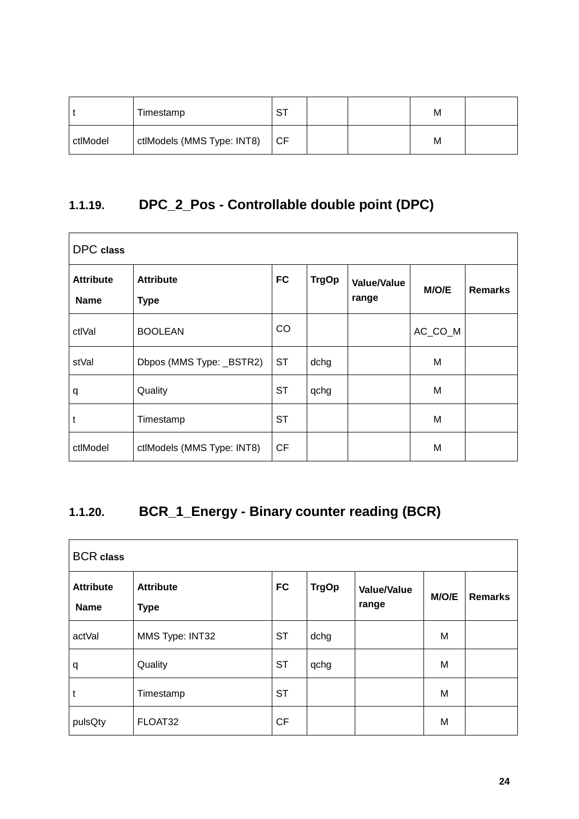|          | Timestamp                  | oт<br>. ت |  | М |  |
|----------|----------------------------|-----------|--|---|--|
| ctlModel | ctlModels (MMS Type: INT8) | ICF       |  | М |  |

### **1.1.19. DPC\_2\_Pos - Controllable double point (DPC)**

| <b>DPC</b> class                |                                 |           |              |                             |         |                |  |  |
|---------------------------------|---------------------------------|-----------|--------------|-----------------------------|---------|----------------|--|--|
| <b>Attribute</b><br><b>Name</b> | <b>Attribute</b><br><b>Type</b> | <b>FC</b> | <b>TrgOp</b> | <b>Value/Value</b><br>range | M/O/E   | <b>Remarks</b> |  |  |
| ctlVal                          | <b>BOOLEAN</b>                  | CO        |              |                             | AC_CO_M |                |  |  |
| stVal                           | Dbpos (MMS Type: _BSTR2)        | <b>ST</b> | dchg         |                             | M       |                |  |  |
| q                               | Quality                         | <b>ST</b> | qchg         |                             | M       |                |  |  |
| t                               | Timestamp                       | <b>ST</b> |              |                             | M       |                |  |  |
| ctlModel                        | ctlModels (MMS Type: INT8)      | <b>CF</b> |              |                             | M       |                |  |  |

# **1.1.20. BCR\_1\_Energy - Binary counter reading (BCR)**

| <b>BCR</b> class                |                                 |           |              |                             |       |                |  |  |
|---------------------------------|---------------------------------|-----------|--------------|-----------------------------|-------|----------------|--|--|
| <b>Attribute</b><br><b>Name</b> | <b>Attribute</b><br><b>Type</b> | <b>FC</b> | <b>TrgOp</b> | <b>Value/Value</b><br>range | M/O/E | <b>Remarks</b> |  |  |
| actVal                          | MMS Type: INT32                 | <b>ST</b> | dchg         |                             | M     |                |  |  |
| q                               | Quality                         | <b>ST</b> | qchg         |                             | M     |                |  |  |
| t                               | Timestamp                       | <b>ST</b> |              |                             | M     |                |  |  |
| pulsQty                         | FLOAT32                         | <b>CF</b> |              |                             | M     |                |  |  |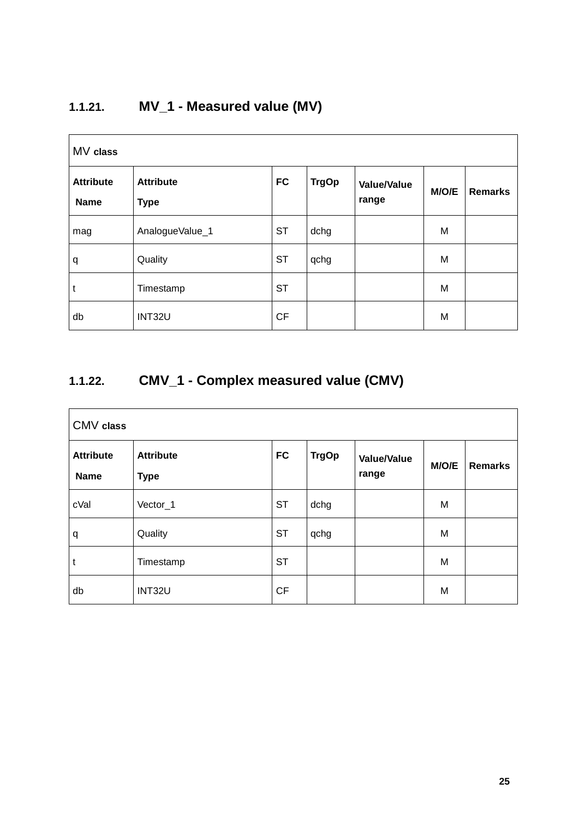# **1.1.21. MV\_1 - Measured value (MV)**

| MV class                        |                                 |           |              |                             |       |                |  |  |
|---------------------------------|---------------------------------|-----------|--------------|-----------------------------|-------|----------------|--|--|
| <b>Attribute</b><br><b>Name</b> | <b>Attribute</b><br><b>Type</b> | <b>FC</b> | <b>TrgOp</b> | <b>Value/Value</b><br>range | M/O/E | <b>Remarks</b> |  |  |
| mag                             | AnalogueValue_1                 | <b>ST</b> | dchg         |                             | M     |                |  |  |
| q                               | Quality                         | <b>ST</b> | qchg         |                             | M     |                |  |  |
| t                               | Timestamp                       | <b>ST</b> |              |                             | M     |                |  |  |
| db                              | INT32U                          | CF        |              |                             | M     |                |  |  |

### **1.1.22. CMV\_1 - Complex measured value (CMV)**

| CMV class                       |                                 |           |              |                             |       |                |  |  |
|---------------------------------|---------------------------------|-----------|--------------|-----------------------------|-------|----------------|--|--|
| <b>Attribute</b><br><b>Name</b> | <b>Attribute</b><br><b>Type</b> | <b>FC</b> | <b>TrgOp</b> | <b>Value/Value</b><br>range | M/O/E | <b>Remarks</b> |  |  |
| cVal                            | Vector_1                        | <b>ST</b> | dchg         |                             | M     |                |  |  |
| q                               | Quality                         | <b>ST</b> | qchg         |                             | M     |                |  |  |
| t                               | Timestamp                       | <b>ST</b> |              |                             | M     |                |  |  |
| db                              | INT32U                          | CF        |              |                             | M     |                |  |  |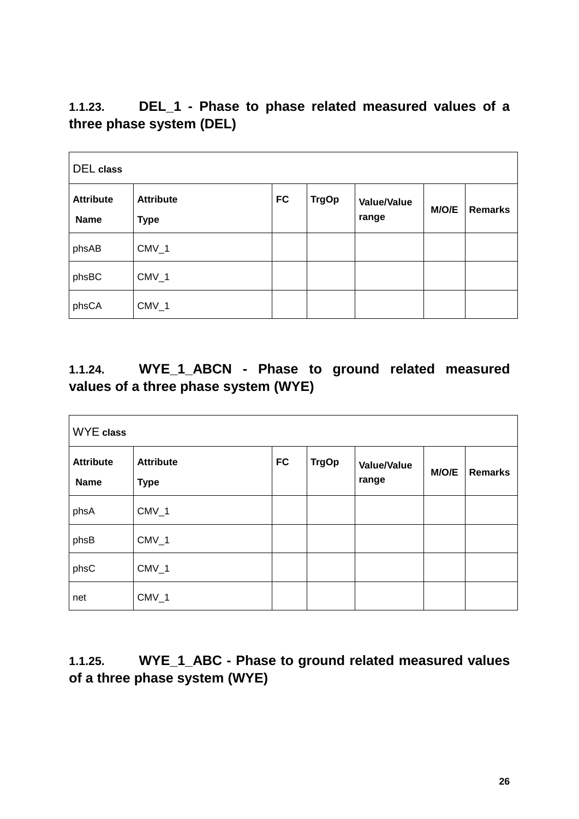**1.1.23. DEL\_1 - Phase to phase related measured values of a three phase system (DEL)**

| <b>DEL</b> class                |                                 |           |              |                             |       |                |  |  |
|---------------------------------|---------------------------------|-----------|--------------|-----------------------------|-------|----------------|--|--|
| <b>Attribute</b><br><b>Name</b> | <b>Attribute</b><br><b>Type</b> | <b>FC</b> | <b>TrgOp</b> | <b>Value/Value</b><br>range | M/O/E | <b>Remarks</b> |  |  |
| phsAB                           | $CMV_1$                         |           |              |                             |       |                |  |  |
| phsBC                           | $CMV_1$                         |           |              |                             |       |                |  |  |
| phsCA                           | $CMV_1$                         |           |              |                             |       |                |  |  |

#### **1.1.24. WYE\_1\_ABCN - Phase to ground related measured values of a three phase system (WYE)**

| <b>WYE</b> class                |                                 |           |              |                             |       |                |  |  |
|---------------------------------|---------------------------------|-----------|--------------|-----------------------------|-------|----------------|--|--|
| <b>Attribute</b><br><b>Name</b> | <b>Attribute</b><br><b>Type</b> | <b>FC</b> | <b>TrgOp</b> | <b>Value/Value</b><br>range | M/O/E | <b>Remarks</b> |  |  |
| phsA                            | $CMV_1$                         |           |              |                             |       |                |  |  |
| phsB                            | $CMV_1$                         |           |              |                             |       |                |  |  |
| phsC                            | $CMV_1$                         |           |              |                             |       |                |  |  |
| net                             | $CMV_1$                         |           |              |                             |       |                |  |  |

#### **1.1.25. WYE\_1\_ABC - Phase to ground related measured values of a three phase system (WYE)**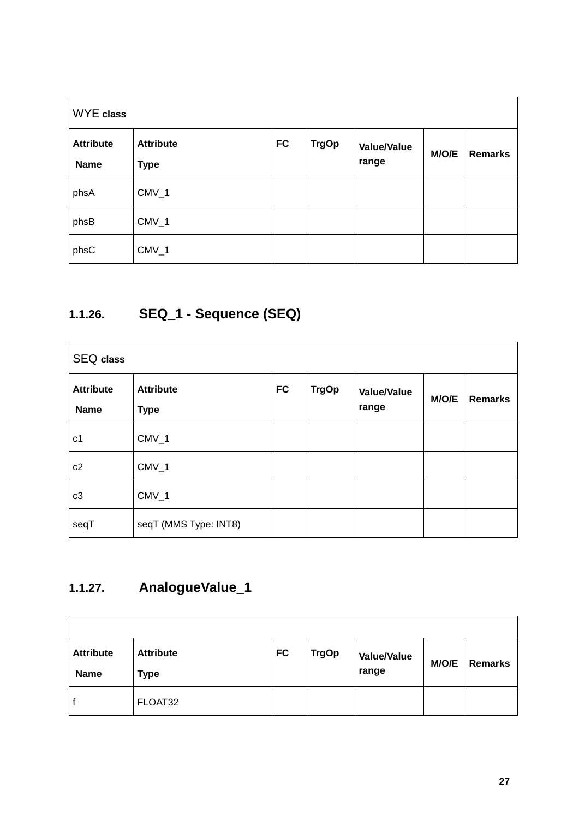| <b>WYE</b> class                |                                 |           |              |                             |       |                |  |  |
|---------------------------------|---------------------------------|-----------|--------------|-----------------------------|-------|----------------|--|--|
| <b>Attribute</b><br><b>Name</b> | <b>Attribute</b><br><b>Type</b> | <b>FC</b> | <b>TrgOp</b> | <b>Value/Value</b><br>range | M/O/E | <b>Remarks</b> |  |  |
| phsA                            | $CMV_1$                         |           |              |                             |       |                |  |  |
| phsB                            | $CMV_1$                         |           |              |                             |       |                |  |  |
| phsC                            | $CMV_1$                         |           |              |                             |       |                |  |  |

# **1.1.26. SEQ\_1 - Sequence (SEQ)**

| <b>SEQ class</b>                |                          |           |              |                             |       |                |
|---------------------------------|--------------------------|-----------|--------------|-----------------------------|-------|----------------|
| <b>Attribute</b><br><b>Name</b> | <b>Attribute</b><br>Type | <b>FC</b> | <b>TrgOp</b> | <b>Value/Value</b><br>range | M/O/E | <b>Remarks</b> |
| c1                              | $CMV_1$                  |           |              |                             |       |                |
| c2                              | $CMV_1$                  |           |              |                             |       |                |
| c3                              | $CMV_1$                  |           |              |                             |       |                |
| seqT                            | seqT (MMS Type: INT8)    |           |              |                             |       |                |

# **1.1.27. AnalogueValue\_1**

| <b>Attribute</b><br><b>Name</b> | <b>Attribute</b><br>Type | <b>FC</b> | <b>TrgOp</b> | <b>Value/Value</b><br>range | M/O/E | <b>Remarks</b> |
|---------------------------------|--------------------------|-----------|--------------|-----------------------------|-------|----------------|
| t                               | FLOAT32                  |           |              |                             |       |                |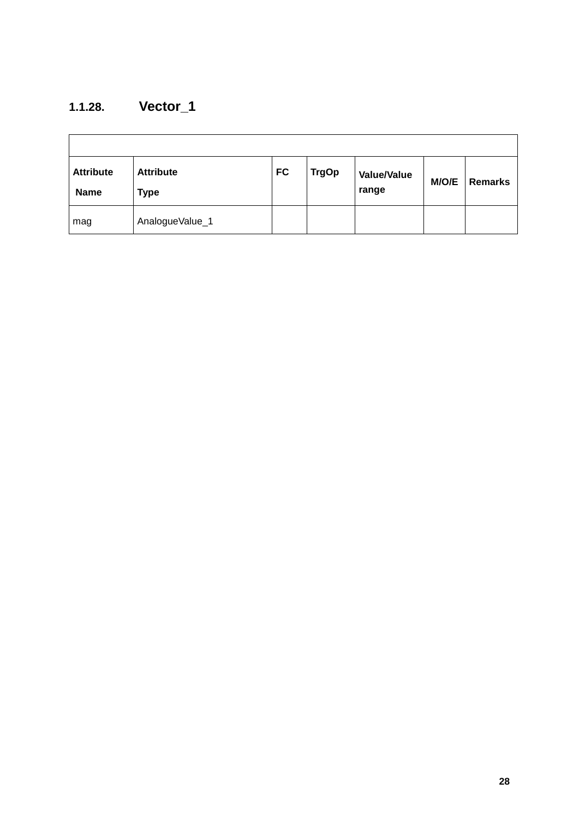### **1.1.28. Vector\_1**

| <b>Attribute</b><br><b>Name</b> | <b>Attribute</b><br>Type | <b>FC</b> | <b>TrgOp</b> | <b>Value/Value</b><br>range | M/O/E | <b>Remarks</b> |
|---------------------------------|--------------------------|-----------|--------------|-----------------------------|-------|----------------|
| mag                             | AnalogueValue_1          |           |              |                             |       |                |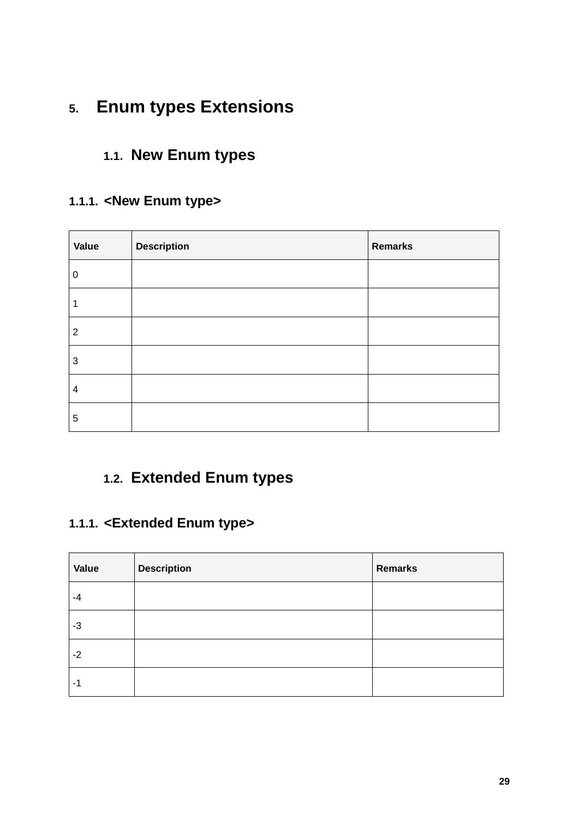# **5. Enum types Extensions**

### **1.1. New Enum types**

#### **1.1.1. <New Enum type>**

| Value          | <b>Description</b> | <b>Remarks</b> |
|----------------|--------------------|----------------|
| 0              |                    |                |
| 1              |                    |                |
| $\overline{2}$ |                    |                |
| 3              |                    |                |
| 4              |                    |                |
| 5              |                    |                |

# **1.2. Extended Enum types**

#### **1.1.1. <Extended Enum type>**

| Value | <b>Description</b> | Remarks |
|-------|--------------------|---------|
| -4    |                    |         |
| $-3$  |                    |         |
| $-2$  |                    |         |
| -1    |                    |         |